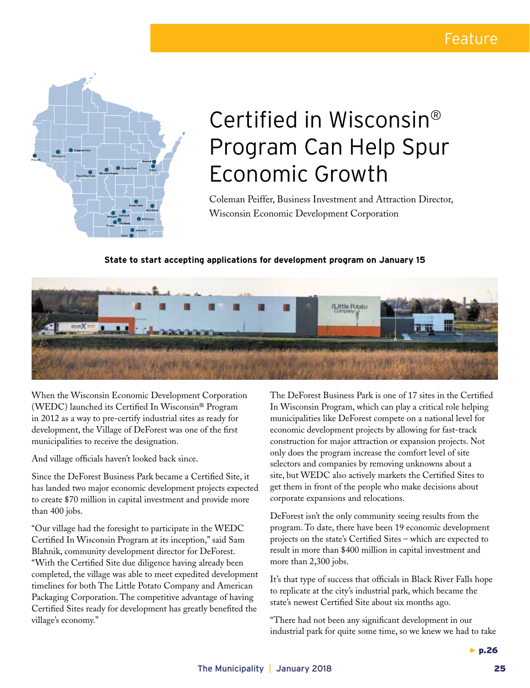

## Certified in Wisconsin® Program Can Help Spur Economic Growth

Coleman Peiffer, Business Investment and Attraction Director, Wisconsin Economic Development Corporation

### **State to start accepting applications for development program on January 15**



When the Wisconsin Economic Development Corporation (WEDC) launched its Certified In Wisconsin® Program in 2012 as a way to pre-certify industrial sites as ready for development, the Village of DeForest was one of the first municipalities to receive the designation.

And village officials haven't looked back since.

Since the DeForest Business Park became a Certified Site, it has landed two major economic development projects expected to create \$70 million in capital investment and provide more than 400 jobs.

"Our village had the foresight to participate in the WEDC Certified In Wisconsin Program at its inception," said Sam Blahnik, community development director for DeForest. "With the Certified Site due diligence having already been completed, the village was able to meet expedited development timelines for both The Little Potato Company and American Packaging Corporation. The competitive advantage of having Certified Sites ready for development has greatly benefited the village's economy."

The DeForest Business Park is one of 17 sites in the Certified In Wisconsin Program, which can play a critical role helping municipalities like DeForest compete on a national level for economic development projects by allowing for fast-track construction for major attraction or expansion projects. Not only does the program increase the comfort level of site selectors and companies by removing unknowns about a site, but WEDC also actively markets the Certified Sites to get them in front of the people who make decisions about corporate expansions and relocations.

DeForest isn't the only community seeing results from the program. To date, there have been 19 economic development projects on the state's Certified Sites – which are expected to result in more than \$400 million in capital investment and more than 2,300 jobs.

It's that type of success that officials in Black River Falls hope to replicate at the city's industrial park, which became the state's newest Certified Site about six months ago.

"There had not been any significant development in our industrial park for quite some time, so we knew we had to take